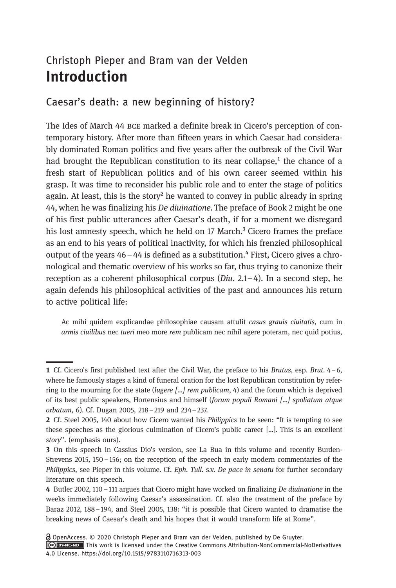## Christoph Pieper and Bram van der Velden Introduction

## Caesar's death: a new beginning of history?

The Ides of March 44 bce marked a definite break in Cicero's perception of contemporary history. After more than fifteen years in which Caesar had considerably dominated Roman politics and five years after the outbreak of the Civil War had brought the Republican constitution to its near collapse, $<sup>1</sup>$  the chance of a</sup> fresh start of Republican politics and of his own career seemed within his grasp. It was time to reconsider his public role and to enter the stage of politics again. At least, this is the story<sup>2</sup> he wanted to convey in public already in spring 44, when he was finalizing his De diuinatione. The preface of Book 2 might be one of his first public utterances after Caesar's death, if for a moment we disregard his lost amnesty speech, which he held on 17 March.<sup>3</sup> Cicero frames the preface as an end to his years of political inactivity, for which his frenzied philosophical output of the years  $46-44$  is defined as a substitution.<sup>4</sup> First, Cicero gives a chronological and thematic overview of his works so far, thus trying to canonize their reception as a coherent philosophical corpus  $(Diu, 2.1-4)$ . In a second step, he again defends his philosophical activities of the past and announces his return to active political life:

Ac mihi quidem explicandae philosophiae causam attulit casus grauis ciuitatis, cum in armis ciuilibus nec tueri meo more rem publicam nec nihil agere poteram, nec quid potius,

Cf. Cicero's first published text after the Civil War, the preface to his Brutus, esp. Brut. 4–6, where he famously stages a kind of funeral oration for the lost Republican constitution by referring to the mourning for the state (lugere  $\left[\ldots\right]$  rem publicam, 4) and the forum which is deprived of its best public speakers, Hortensius and himself (forum populi Romani […] spoliatum atque orbatum, 6). Cf. Dugan 2005, 218–219 and 234–237.

<sup>2</sup> Cf. Steel 2005, 140 about how Cicero wanted his Philippics to be seen: "It is tempting to see these speeches as the glorious culmination of Cicero's public career […]. This is an excellent story". (emphasis ours).

On this speech in Cassius Dio's version, see La Bua in this volume and recently Burden-Strevens 2015, 150 –156; on the reception of the speech in early modern commentaries of the Philippics, see Pieper in this volume. Cf. Eph. Tull. s.v. De pace in senatu for further secondary literature on this speech.

<sup>4</sup> Butler 2002, 110 – 111 argues that Cicero might have worked on finalizing *De diuinatione* in the weeks immediately following Caesar's assassination. Cf. also the treatment of the preface by Baraz 2012, 188–194, and Steel 2005, 138: "it is possible that Cicero wanted to dramatise the breaking news of Caesar's death and his hopes that it would transform life at Rome".

This work is licensed under the Creative Commons Attribution-NonCommercial-NoDerivatives 4.0 License. https://doi.org/10.1515/9783110716313-003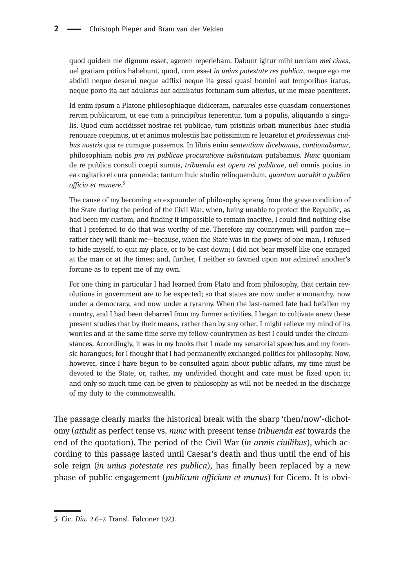quod quidem me dignum esset, agerem reperiebam. Dabunt igitur mihi ueniam mei ciues, uel gratiam potius habebunt, quod, cum esset in unius potestate res publica, neque ego me abdidi neque deserui neque adflixi neque ita gessi quasi homini aut temporibus iratus, neque porro ita aut adulatus aut admiratus fortunam sum alterius, ut me meae paeniteret.

Id enim ipsum a Platone philosophiaque didiceram, naturales esse quasdam conuersiones rerum publicarum, ut eae tum a principibus tenerentur, tum a populis, aliquando a singulis. Quod cum accidisset nostrae rei publicae, tum pristinis orbati muneribus haec studia renouare coepimus, ut et animus molestiis hac potissimum re leuaretur et prodessemus ciuibus nostris qua re cumque possemus. In libris enim sententiam dicebamus, contionabamur, philosophiam nobis pro rei publicae procuratione substitutam putabamus. Nunc quoniam de re publica consuli coepti sumus, tribuenda est opera rei publicae, uel omnis potius in ea cogitatio et cura ponenda; tantum huic studio relinquendum, quantum uacabit a publico officio et munere.<sup>5</sup>

The cause of my becoming an expounder of philosophy sprang from the grave condition of the State during the period of the Civil War, when, being unable to protect the Republic, as had been my custom, and finding it impossible to remain inactive, I could find nothing else that I preferred to do that was worthy of me. Therefore my countrymen will pardon me rather they will thank me—because, when the State was in the power of one man, I refused to hide myself, to quit my place, or to be cast down; I did not bear myself like one enraged at the man or at the times; and, further, I neither so fawned upon nor admired another's fortune as to repent me of my own.

For one thing in particular I had learned from Plato and from philosophy, that certain revolutions in government are to be expected; so that states are now under a monarchy, now under a democracy, and now under a tyranny. When the last-named fate had befallen my country, and I had been debarred from my former activities, I began to cultivate anew these present studies that by their means, rather than by any other, I might relieve my mind of its worries and at the same time serve my fellow-countrymen as best I could under the circumstances. Accordingly, it was in my books that I made my senatorial speeches and my forensic harangues; for I thought that I had permanently exchanged politics for philosophy. Now, however, since I have begun to be consulted again about public affairs, my time must be devoted to the State, or, rather, my undivided thought and care must be fixed upon it; and only so much time can be given to philosophy as will not be needed in the discharge of my duty to the commonwealth.

The passage clearly marks the historical break with the sharp 'then/now'-dichotomy (attulit as perfect tense vs. nunc with present tense tribuenda est towards the end of the quotation). The period of the Civil War (*in armis ciuilibus*), which according to this passage lasted until Caesar's death and thus until the end of his sole reign (in unius potestate res publica), has finally been replaced by a new phase of public engagement (publicum officium et munus) for Cicero. It is obvi-

Cic. Diu. 2.6–7. Transl. Falconer 1923.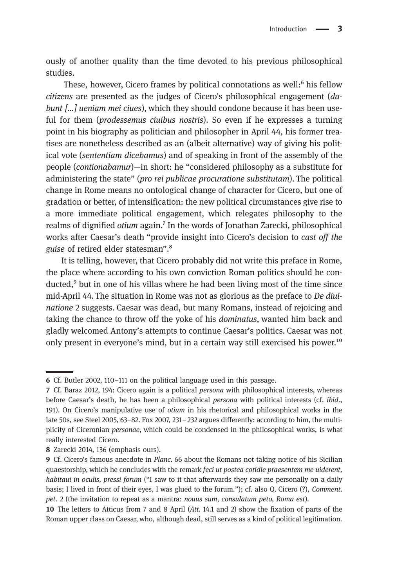ously of another quality than the time devoted to his previous philosophical studies.

These, however, Cicero frames by political connotations as well:<sup>6</sup> his fellow citizens are presented as the judges of Cicero's philosophical engagement (dabunt [...] ueniam mei ciues], which they should condone because it has been useful for them (*prodessemus ciuibus nostris*). So even if he expresses a turning point in his biography as politician and philosopher in April 44, his former treatises are nonetheless described as an (albeit alternative) way of giving his political vote (sententiam dicebamus) and of speaking in front of the assembly of the people (contionabamur)—in short: he "considered philosophy as a substitute for administering the state" (pro rei publicae procuratione substitutam). The political change in Rome means no ontological change of character for Cicero, but one of gradation or better, of intensification: the new political circumstances give rise to a more immediate political engagement, which relegates philosophy to the realms of dignified *otium* again.<sup>7</sup> In the words of Jonathan Zarecki, philosophical works after Caesar's death "provide insight into Cicero's decision to *cast off the* guise of retired elder statesman".<sup>8</sup>

It is telling, however, that Cicero probably did not write this preface in Rome, the place where according to his own conviction Roman politics should be conducted,<sup>9</sup> but in one of his villas where he had been living most of the time since mid-April 44. The situation in Rome was not as glorious as the preface to De diuinatione 2 suggests. Caesar was dead, but many Romans, instead of rejoicing and taking the chance to throw off the yoke of his dominatus, wanted him back and gladly welcomed Antony's attempts to continue Caesar's politics. Caesar was not only present in everyone's mind, but in a certain way still exercised his power.<sup>10</sup>

Cf. Butler 2002, 110–111 on the political language used in this passage.

Cf. Baraz 2012, 194: Cicero again is a political persona with philosophical interests, whereas before Caesar's death, he has been a philosophical *persona* with political interests (cf. *ibid.*, 191). On Cicero's manipulative use of otium in his rhetorical and philosophical works in the late 50s, see Steel 2005, 63–82. Fox 2007, 231–232 argues differently: according to him, the multiplicity of Ciceronian personae, which could be condensed in the philosophical works, is what really interested Cicero.

Zarecki 2014, 136 (emphasis ours).

<sup>9</sup> Cf. Cicero's famous anecdote in Planc. 66 about the Romans not taking notice of his Sicilian quaestorship, which he concludes with the remark feci ut postea cotidie praesentem me uiderent, habitaui in oculis, pressi forum ("I saw to it that afterwards they saw me personally on a daily basis;Ilived in front of their eyes, I was glued to the forum."); cf. also Q. Cicero (?), Comment. pet. 2 (the invitation to repeat as a mantra: [nouus](http://www.perseus.tufts.edu/hopper/morph?l=novus&la=la&can=novus0&prior=est) [sum](http://www.perseus.tufts.edu/hopper/morph?l=sum&la=la&can=sum0&prior=novus), [consulatum](http://www.perseus.tufts.edu/hopper/morph?l=consulatum&la=la&can=consulatum0&prior=sum) [peto,](http://www.perseus.tufts.edu/hopper/morph?l=peto&la=la&can=peto0&prior=consulatum) [Roma](http://www.perseus.tufts.edu/hopper/morph?l=Roma&la=la&can=roma0&prior=peto) [est](http://www.perseus.tufts.edu/hopper/morph?l=est&la=la&can=est1&prior=Roma)).

<sup>10</sup> The letters to Atticus from 7 and 8 April (Att. 14.1 and 2) show the fixation of parts of the Roman upper class on Caesar, who, although dead, still serves as a kind of political legitimation.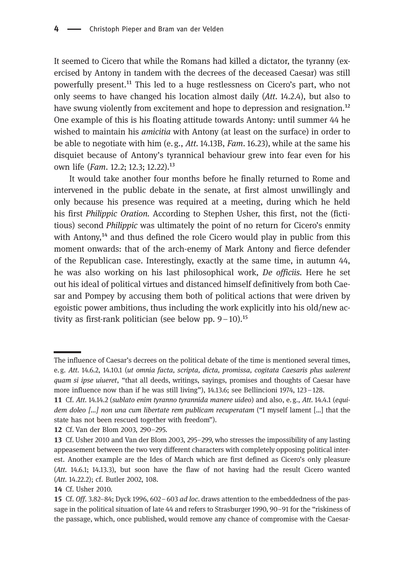It seemed to Cicero that while the Romans had killed a dictator, the tyranny (exercised by Antony in tandem with the decrees of the deceased Caesar) was still powerfully present.<sup>11</sup> This led to a huge restlessness on Cicero's part, who not only seems to have changed his location almost daily (Att. 14.2.4), but also to have swung violently from excitement and hope to depression and resignation.<sup>12</sup> One example of this is his floating attitude towards Antony: until summer 44 he wished to maintain his *amicitia* with Antony (at least on the surface) in order to be able to negotiate with him (e.g.,  $Att. 14.13B$ ,  $Fam. 16.23$ ), while at the same his disquiet because of Antony's tyrannical behaviour grew into fear even for his own life (*Fam.* 12.2; 12.3; 12.22).<sup>13</sup>

It would take another four months before he finally returned to Rome and intervened in the public debate in the senate, at first almost unwillingly and only because his presence was required at a meeting, during which he held his first Philippic Oration. According to Stephen Usher, this first, not the (fictitious) second Philippic was ultimately the point of no return for Cicero's enmity with Antony, $14$  and thus defined the role Cicero would play in public from this moment onwards: that of the arch-enemy of Mark Antony and fierce defender of the Republican case. Interestingly, exactly at the same time, in autumn 44, he was also working on his last philosophical work, De officiis. Here he set out his ideal of political virtues and distanced himself definitively from both Caesar and Pompey by accusing them both of political actions that were driven by egoistic power ambitions, thus including the work explicitly into his old/new activity as first-rank politician (see below pp.  $9-10$ ).<sup>15</sup>

The influence of Caesar's decrees on the political debate of the time is mentioned several times, e.g. Att. 14.6.2, 14.10.1 (ut omnia facta, scripta, dicta, promissa, cogitata Caesaris plus ualerent quam si ipse uiueret, "that all deeds, writings, sayings, promises and thoughts of Caesar have more influence now than if he was still living"), 14.13.6; see Bellincioni 1974, 123–128.

Cf. Att. 14.14.2 (sublato enim tyranno tyrannida manere uideo) and also, e.g., Att. 14.4.1 (equidem doleo […] non una cum libertate rem publicam recuperatam ("I myself lament […] that the state has not been rescued together with freedom").

<sup>12</sup> Cf. Van der Blom 2003, 290-295.

<sup>13</sup> Cf. Usher 2010 and Van der Blom 2003, 295–299, who stresses the impossibility of any lasting appeasement between the two very different characters with completely opposing political interest. Another example are the Ides of March which are first defined as Cicero's only pleasure (Att. 14.6.1; 14.13.3), but soon have the flaw of not having had the result Cicero wanted (Att. 14.22.2); cf. Butler 2002, 108.

<sup>14</sup> Cf. Usher 2010.

Cf. Off. 3.82–84; Dyck 1996, 602–603 ad loc. draws attention to the embeddedness of the passage in the political situation of late 44 and refers to Strasburger 1990, 90–91 for the "riskiness of the passage, which, once published, would remove any chance of compromise with the Caesar-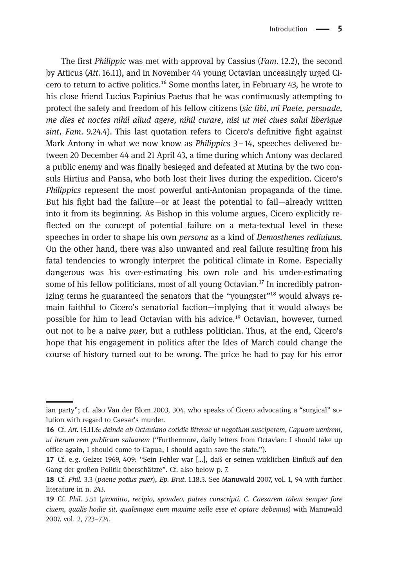The first Philippic was met with approval by Cassius (Fam. 12.2), the second by Atticus (Att. 16.11), and in November 44 young Octavian unceasingly urged Cicero to return to active politics.<sup>16</sup> Some months later, in February 43, he wrote to his close friend Lucius Papinius Paetus that he was continuously attempting to protect the safety and freedom of his fellow citizens (sic tibi, mi Paete, persuade, me dies et noctes nihil aliud agere, nihil curare, nisi ut mei ciues salui liberique sint, Fam. 9.24.4). This last quotation refers to Cicero's definitive fight against Mark Antony in what we now know as *Philippics*  $3-14$ , speeches delivered between 20 December 44 and 21 April 43, a time during which Antony was declared a public enemy and was finally besieged and defeated at Mutina by the two consuls Hirtius and Pansa, who both lost their lives during the expedition. Cicero's Philippics represent the most powerful anti-Antonian propaganda of the time. But his fight had the failure—or at least the potential to fail—already written into it from its beginning. As Bishop in this volume argues, Cicero explicitly reflected on the concept of potential failure on a meta-textual level in these speeches in order to shape his own persona as a kind of Demosthenes rediuiuus. On the other hand, there was also unwanted and real failure resulting from his fatal tendencies to wrongly interpret the political climate in Rome. Especially dangerous was his over-estimating his own role and his under-estimating some of his fellow politicians, most of all young Octavian.<sup>17</sup> In incredibly patronizing terms he guaranteed the senators that the "youngster"<sup>18</sup> would always remain faithful to Cicero's senatorial faction—implying that it would always be possible for him to lead Octavian with his advice.<sup>19</sup> Octavian, however, turned out not to be a naive puer, but a ruthless politician. Thus, at the end, Cicero's hope that his engagement in politics after the Ides of March could change the course of history turned out to be wrong. The price he had to pay for his error

ian party"; cf. also Van der Blom 2003, 304, who speaks of Cicero advocating a "surgical" solution with regard to Caesar's murder.

<sup>16</sup> Cf. Att. 15.11.6: deinde ab Octauiano cotidie litterae ut negotium susciperem, Capuam uenirem, ut iterum rem publicam saluarem ("Furthermore, daily letters from Octavian: I should take up office again, I should come to Capua, I should again save the state.").

Cf. e.g. Gelzer 1969, 409: "Sein Fehler war […], daß er seinen wirklichen Einfluß auf den Gang der großen Politik überschätzte". Cf. also below p. 7.

Cf. Phil. 3.3 (paene potius puer), Ep. Brut. 1.18.3. See Manuwald 2007, vol. 1, 94 with further literature in n. 243.

Cf. Phil. 5.51 (promitto, recipio, spondeo, patres conscripti, C. Caesarem talem semper fore ciuem, qualis hodie sit, qualemque eum maxime uelle esse et optare debemus) with Manuwald 2007, vol. 2, 723–724.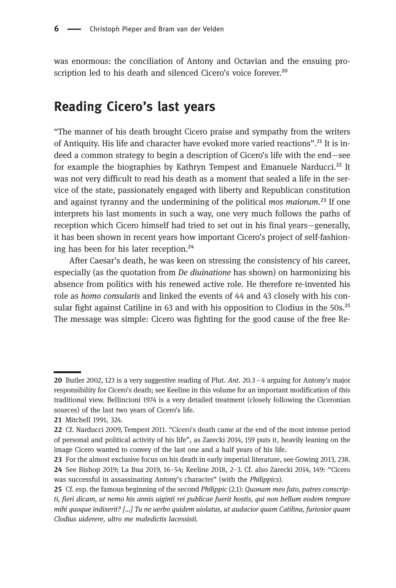was enormous: the conciliation of Antony and Octavian and the ensuing proscription led to his death and silenced Cicero's voice forever.<sup>20</sup>

## Reading Cicero's last years

"The manner of his death brought Cicero praise and sympathy from the writers of Antiquity. His life and character have evoked more varied reactions".<sup>21</sup> It is indeed a common strategy to begin a description of Cicero's life with the end—see for example the biographies by Kathryn Tempest and Emanuele Narducci.<sup>22</sup> It was not very difficult to read his death as a moment that sealed a life in the service of the state, passionately engaged with liberty and Republican constitution and against tyranny and the undermining of the political mos maiorum.<sup>23</sup> If one interprets his last moments in such a way, one very much follows the paths of reception which Cicero himself had tried to set out in his final years―generally, it has been shown in recent years how important Cicero's project of self-fashioning has been for his later reception.<sup>24</sup>

After Caesar's death, he was keen on stressing the consistency of his career, especially (as the quotation from De diuinatione has shown) on harmonizing his absence from politics with his renewed active role. He therefore re-invented his role as homo consularis and linked the events of 44 and 43 closely with his consular fight against Catiline in 63 and with his opposition to Clodius in the 50s.<sup>25</sup> The message was simple: Cicero was fighting for the good cause of the free Re-

**<sup>20</sup>** Butler 2002, 123 is a very suggestive reading of Plut. Ant. 20.3 – 4 arguing for Antony's major responsibility for Cicero's death; see Keeline in this volume for an important modification of this traditional view. Bellincioni 1974 is a very detailed treatment (closely following the Ciceronian sources) of the last two years of Cicero's life.

<sup>21</sup> Mitchell 1991, 324.

<sup>22</sup> Cf. Narducci 2009, Tempest 2011. "Cicero's death came at the end of the most intense period of personal and political activity of his life", as Zarecki 2014, 159 puts it, heavily leaning on the image Cicero wanted to convey of the last one and a half years of his life.

<sup>23</sup> For the almost exclusive focus on his death in early imperial literature, see Gowing 2013, 238. See Bishop 2019; La Bua 2019, 16–54; Keeline 2018, 2–3. Cf. also Zarecki 2014, 149: "Cicero was successful in assassinating Antony's character" (with the Philippics).

<sup>25</sup> Cf. esp. the famous beginning of the second Philippic (2.1): Quonam meo fato, patres conscripti, fieri dicam, ut nemo his annis uiginti rei publicae fuerit hostis, qui non bellum eodem tempore mihi quoque indixerit? […] Tu ne uerbo quidem uiolatus, ut audacior quam Catilina, furiosior quam Clodius uiderere, ultro me maledictis lacessisti.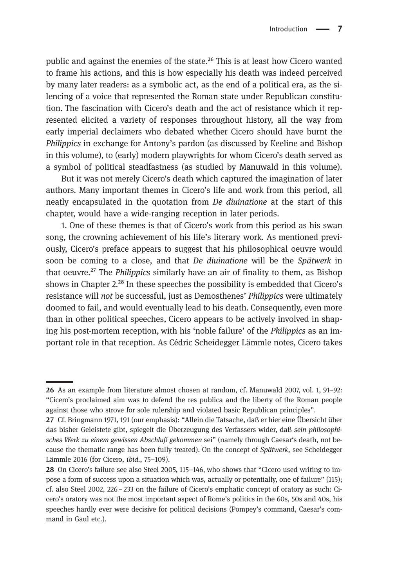public and against the enemies of the state.<sup>26</sup> This is at least how Cicero wanted to frame his actions, and this is how especially his death was indeed perceived by many later readers: as a symbolic act, as the end of a political era, as the silencing of a voice that represented the Roman state under Republican constitution. The fascination with Cicero's death and the act of resistance which it represented elicited a variety of responses throughout history, all the way from early imperial declaimers who debated whether Cicero should have burnt the Philippics in exchange for Antony's pardon (as discussed by Keeline and Bishop in this volume), to (early) modern playwrights for whom Cicero's death served as a symbol of political steadfastness (as studied by Manuwald in this volume).

But it was not merely Cicero's death which captured the imagination of later authors. Many important themes in Cicero's life and work from this period, all neatly encapsulated in the quotation from De diuinatione at the start of this chapter, would have a wide-ranging reception in later periods.

1. One of these themes is that of Cicero's work from this period as his swan song, the crowning achievement of his life's literary work. As mentioned previously, Cicero's preface appears to suggest that his philosophical oeuvre would soon be coming to a close, and that *De diuinatione* will be the Spätwerk in that oeuvre.<sup>27</sup> The *Philippics* similarly have an air of finality to them, as Bishop shows in Chapter  $2^{28}$  In these speeches the possibility is embedded that Cicero's resistance will not be successful, just as Demosthenes' Philippics were ultimately doomed to fail, and would eventually lead to his death. Consequently, even more than in other political speeches, Cicero appears to be actively involved in shaping his post-mortem reception, with his 'noble failure' of the Philippics as an important role in that reception. As Cédric Scheidegger Lämmle notes, Cicero takes

<sup>26</sup> As an example from literature almost chosen at random, cf. Manuwald 2007, vol. 1, 91–92: "Cicero's proclaimed aim was to defend the res publica and the liberty of the Roman people against those who strove for sole rulership and violated basic Republican principles".

<sup>27</sup> Cf. Bringmann 1971, 191 (our emphasis): "Allein die Tatsache, daß er hier eine Übersicht über das bisher Geleistete gibt, spiegelt die Überzeugung des Verfassers wider, daß sein philosophisches Werk zu einem gewissen Abschluß gekommen sei" (namely through Caesar's death, not because the thematic range has been fully treated). On the concept of Spätwerk, see Scheidegger Lämmle 2016 (for Cicero, ibid., 75–109).

<sup>28</sup> On Cicero's failure see also Steel 2005, 115–146, who shows that "Cicero used writing to impose a form of success upon a situation which was, actually or potentially, one of failure" (115); cf. also Steel 2002, 226–233 on the failure of Cicero's emphatic concept of oratory as such: Cicero's oratory was not the most important aspect of Rome's politics in the 60s, 50s and 40s, his speeches hardly ever were decisive for political decisions (Pompey's command, Caesar's command in Gaul etc.).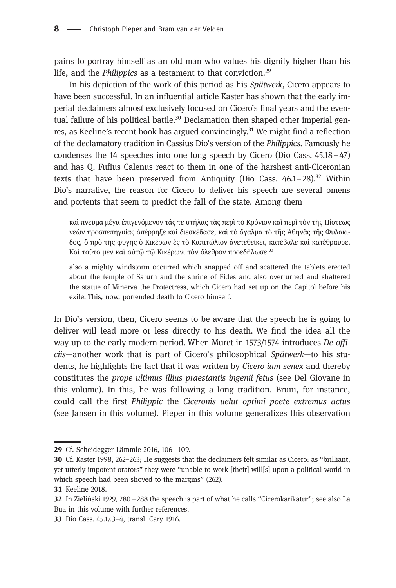pains to portray himself as an old man who values his dignity higher than his life, and the *Philippics* as a testament to that conviction.<sup>29</sup>

In his depiction of the work of this period as his Spätwerk, Cicero appears to have been successful. In an influential article Kaster has shown that the early imperial declaimers almost exclusively focused on Cicero's final years and the eventual failure of his political battle.<sup>30</sup> Declamation then shaped other imperial genres, as Keeline's recent book has argued convincingly.<sup>31</sup> We might find a reflection of the declamatory tradition in Cassius Dio's version of the Philippics. Famously he condenses the 14 speeches into one long speech by Cicero (Dio Cass. 45.18–47) and has Q. Fufius Calenus react to them in one of the harshest anti-Ciceronian texts that have been preserved from Antiquity (Dio Cass.  $46.1-28$ ).<sup>32</sup> Within Dio's narrative, the reason for Cicero to deliver his speech are several omens and portents that seem to predict the fall of the state. Among them

καὶ πνεῦμα μέγα ἐπιγενόμενον τάς τε στήλας τὰς περὶ τὸ Κρόνιον καὶ περὶ τὸν τῆς Πίστεως νεὼν προσπεπηγυίας ἀπέρρηξε καὶ διεσκέδασε, καὶ τὸ ἄγαλμα τὸ τῆς ᾿Aθηνᾶς τῆς Φυλακίδος, ὃ πρὸ τῆς φυγῆς ὁ Κικέρων ἐς τὸ Καπιτώλιον ἀνετεθείκει, κατέβαλε καὶ κατέθραυσε. Καὶ τοῦτο μὲν καὶ αὐτῷ τῷ Κικέρωνι τὸν ὄλεθρον προεδήλωσε.<sup>33</sup>

also a mighty windstorm occurred which snapped off and scattered the tablets erected about the temple of Saturn and the shrine of Fides and also overturned and shattered the statue of Minerva the Protectress, which Cicero had set up on the Capitol before his exile. This, now, portended death to Cicero himself.

In Dio's version, then, Cicero seems to be aware that the speech he is going to deliver will lead more or less directly to his death. We find the idea all the way up to the early modern period. When Muret in 1573/1574 introduces De officiis—another work that is part of Cicero's philosophical Spätwerk—to his students, he highlights the fact that it was written by Cicero iam senex and thereby constitutes the prope ultimus illius praestantis ingenii fetus (see Del Giovane in this volume). In this, he was following a long tradition. Bruni, for instance, could call the first Philippic the Ciceronis uelut optimi poete extremus actus (see Jansen in this volume). Pieper in this volume generalizes this observation

<sup>29</sup> Cf. Scheidegger Lämmle 2016, 106-109.

Cf. Kaster 1998, 262–263; He suggests that the declaimers felt similar as Cicero: as "brilliant, yet utterly impotent orators" they were "unable to work [their] will[s] upon a political world in which speech had been shoved to the margins" (262).

**<sup>31</sup>** Keeline 2018.

**<sup>32</sup>** In Zieliński 1929, 280 – 288 the speech is part of what he calls "Cicerokarikatur"; see also La Bua in this volume with further references.

<sup>33</sup> Dio Cass. 45.17.3-4, transl. Cary 1916.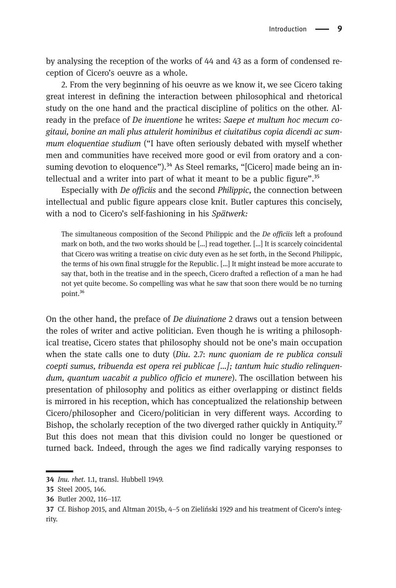by analysing the reception of the works of 44 and 43 as a form of condensed reception of Cicero's oeuvre as a whole.

2. From the very beginning of his oeuvre as we know it, we see Cicero taking great interest in defining the interaction between philosophical and rhetorical study on the one hand and the practical discipline of politics on the other. Already in the preface of De inuentione he writes: Saepe et multum hoc mecum cogitaui, bonine an mali plus attulerit hominibus et ciuitatibus copia dicendi ac summum eloquentiae studium ("I have often seriously debated with myself whether men and communities have received more good or evil from oratory and a consuming devotion to eloquence").<sup>34</sup> As Steel remarks, "[Cicero] made being an intellectual and a writer into part of what it meant to be a public figure".<sup>35</sup>

Especially with De officiis and the second Philippic, the connection between intellectual and public figure appears close knit. Butler captures this concisely, with a nod to Cicero's self-fashioning in his Spätwerk:

The simultaneous composition of the Second Philippic and the *De officiis* left a profound mark on both, and the two works should be […] read together. […] It is scarcely coincidental that Cicero was writing a treatise on civic duty even as he set forth, in the Second Philippic, the terms of his own final struggle for the Republic. […] It might instead be more accurate to say that, both in the treatise and in the speech, Cicero drafted a reflection of a man he had not yet quite become. So compelling was what he saw that soon there would be no turning point.<sup>36</sup>

On the other hand, the preface of De diuinatione 2 draws out a tension between the roles of writer and active politician. Even though he is writing a philosophical treatise, Cicero states that philosophy should not be one's main occupation when the state calls one to duty  $(Diu, 2.7:$  nunc quoniam de re publica consuli coepti sumus, tribuenda est opera rei publicae […]; tantum huic studio relinquendum, quantum uacabit a publico officio et munere). The oscillation between his presentation of philosophy and politics as either overlapping or distinct fields is mirrored in his reception, which has conceptualized the relationship between Cicero/philosopher and Cicero/politician in very different ways. According to Bishop, the scholarly reception of the two diverged rather quickly in Antiquity. $3^7$ But this does not mean that this division could no longer be questioned or turned back. Indeed, through the ages we find radically varying responses to

<sup>34</sup> Inu. rhet. 1.1, transl. Hubbell 1949.

<sup>35</sup> Steel 2005, 146.

<sup>36</sup> Butler 2002, 116-117.

Cf. Bishop 2015, and Altman 2015b, 4–5 on Zieliński 1929 and his treatment of Cicero's integrity.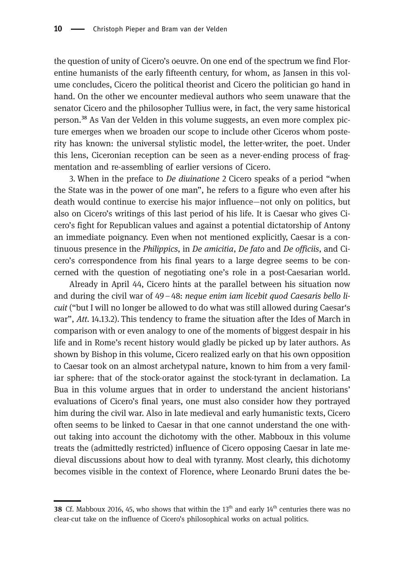the question of unity of Cicero's oeuvre. On one end of the spectrum we find Florentine humanists of the early fifteenth century, for whom, as Jansen in this volume concludes, Cicero the political theorist and Cicero the politician go hand in hand. On the other we encounter medieval authors who seem unaware that the senator Cicero and the philosopher Tullius were, in fact, the very same historical person.<sup>38</sup> As Van der Velden in this volume suggests, an even more complex picture emerges when we broaden our scope to include other Ciceros whom posterity has known: the universal stylistic model, the letter-writer, the poet. Under this lens, Ciceronian reception can be seen as a never-ending process of fragmentation and re-assembling of earlier versions of Cicero.

3. When in the preface to De diuinatione 2 Cicero speaks of a period "when the State was in the power of one man", he refers to a figure who even after his death would continue to exercise his major influence―not only on politics, but also on Cicero's writings of this last period of his life. It is Caesar who gives Cicero's fight for Republican values and against a potential dictatorship of Antony an immediate poignancy. Even when not mentioned explicitly, Caesar is a continuous presence in the Philippics, in De amicitia, De fato and De officiis, and Cicero's correspondence from his final years to a large degree seems to be concerned with the question of negotiating one's role in a post-Caesarian world.

Already in April 44, Cicero hints at the parallel between his situation now and during the civil war of  $49 - 48$ : neque enim iam licebit quod Caesaris bello licuit ("but I will no longer be allowed to do what was still allowed during Caesar's war", Att. 14.13.2). This tendency to frame the situation after the Ides of March in comparison with or even analogy to one of the moments of biggest despair in his life and in Rome's recent history would gladly be picked up by later authors. As shown by Bishop in this volume, Cicero realized early on that his own opposition to Caesar took on an almost archetypal nature, known to him from a very familiar sphere: that of the stock-orator against the stock-tyrant in declamation. La Bua in this volume argues that in order to understand the ancient historians' evaluations of Cicero's final years, one must also consider how they portrayed him during the civil war. Also in late medieval and early humanistic texts, Cicero often seems to be linked to Caesar in that one cannot understand the one without taking into account the dichotomy with the other. Mabboux in this volume treats the (admittedly restricted) influence of Cicero opposing Caesar in late medieval discussions about how to deal with tyranny. Most clearly, this dichotomy becomes visible in the context of Florence, where Leonardo Bruni dates the be-

**<sup>38</sup>** Cf. Mabboux 2016, 45, who shows that within the  $13<sup>th</sup>$  and early  $14<sup>th</sup>$  centuries there was no clear-cut take on the influence of Cicero's philosophical works on actual politics.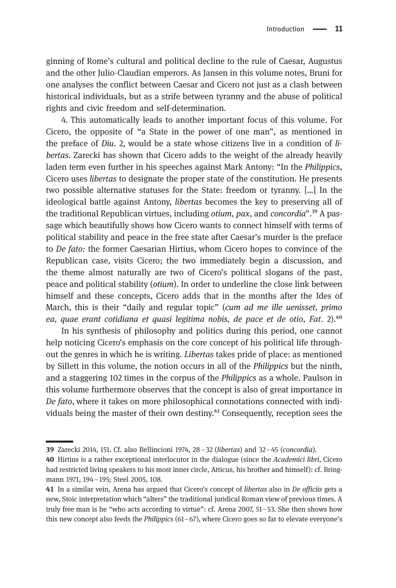ginning of Rome's cultural and political decline to the rule of Caesar, Augustus and the other Julio-Claudian emperors. As Jansen in this volume notes, Bruni for one analyses the conflict between Caesar and Cicero not just as a clash between historical individuals, but as a strife between tyranny and the abuse of political rights and civic freedom and self-determination.

4. This automatically leads to another important focus of this volume. For Cicero, the opposite of "a State in the power of one man", as mentioned in the preface of  $Diu$ . 2, would be a state whose citizens live in a condition of  $li$ bertas. Zarecki has shown that Cicero adds to the weight of the already heavily laden term even further in his speeches against Mark Antony: "In the Philippics, Cicero uses libertas to designate the proper state of the constitution. He presents two possible alternative statuses for the State: freedom or tyranny. […] In the ideological battle against Antony, libertas becomes the key to preserving all of the traditional Republican virtues, including *otium*,  $pax$ , and *concordia*".<sup>39</sup> A passage which beautifully shows how Cicero wants to connect himself with terms of political stability and peace in the free state after Caesar's murder is the preface to De fato: the former Caesarian Hirtius, whom Cicero hopes to convince of the Republican case, visits Cicero; the two immediately begin a discussion, and the theme almost naturally are two of Cicero's political slogans of the past, peace and political stability (otium). In order to underline the close link between himself and these concepts, Cicero adds that in the months after the Ides of March, this is their "daily and regular topic" (cum ad me ille uenisset, primo ea, quae erant cotidiana et quasi legitima nobis, de pace et de otio, Fat. 2).<sup>40</sup>

In his synthesis of philosophy and politics during this period, one cannot help noticing Cicero's emphasis on the core concept of his political life throughout the genres in which he is writing. Libertas takes pride of place: as mentioned by Sillett in this volume, the notion occurs in all of the Philippics but the ninth, and a staggering 102 times in the corpus of the Philippics as a whole. Paulson in this volume furthermore observes that the concept is also of great importance in De fato, where it takes on more philosophical connotations connected with individuals being the master of their own destiny.<sup>41</sup> Consequently, reception sees the

<sup>39</sup> Zarecki 2014, 151. Cf. also Bellincioni 1974,  $28-32$  (libertas) and  $32-45$  (concordia).

<sup>40</sup> Hirtius is a rather exceptional interlocutor in the dialogue (since the Academici libri, Cicero had restricted living speakers to his most inner circle, Atticus, his brother and himself): cf. Bringmann 1971, 194–195; Steel 2005, 108.

<sup>41</sup> In a similar vein, Arena has argued that Cicero's concept of *libertas* also in De officiis gets a new, Stoic interpretation which "alters" the traditional juridical Roman view of previous times. A truly free man is he "who acts according to virtue": cf. Arena 2007, 51–53. She then shows how this new concept also feeds the Philippics (61–67), where Cicero goes so far to elevate everyone's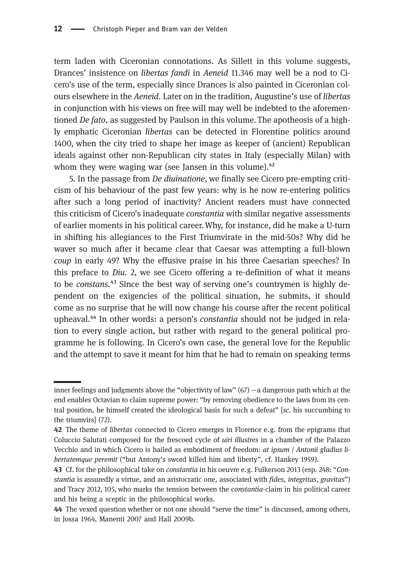term laden with Ciceronian connotations. As Sillett in this volume suggests, Drances' insistence on libertas fandi in Aeneid 11.346 may well be a nod to Cicero's use of the term, especially since Drances is also painted in Ciceronian colours elsewhere in the Aeneid. Later on in the tradition, Augustine's use of libertas in conjunction with his views on free will may well be indebted to the aforementioned *De fato*, as suggested by Paulson in this volume. The apotheosis of a highly emphatic Ciceronian libertas can be detected in Florentine politics around 1400, when the city tried to shape her image as keeper of (ancient) Republican ideals against other non-Republican city states in Italy (especially Milan) with whom they were waging war (see Jansen in this volume). $42$ 

5. In the passage from De diuinatione, we finally see Cicero pre-empting criticism of his behaviour of the past few years: why is he now re-entering politics after such a long period of inactivity? Ancient readers must have connected this criticism of Cicero's inadequate constantia with similar negative assessments of earlier moments in his political career.Why, for instance, did he make a U-turn in shifting his allegiances to the First Triumvirate in the mid-50s? Why did he waver so much after it became clear that Caesar was attempting a full-blown coup in early 49? Why the effusive praise in his three Caesarian speeches? In this preface to Diu. 2, we see Cicero offering a re-definition of what it means to be *constans*.<sup>43</sup> Since the best way of serving one's countrymen is highly dependent on the exigencies of the political situation, he submits, it should come as no surprise that he will now change his course after the recent political upheaval.<sup>44</sup> In other words: a person's constantia should not be judged in relation to every single action, but rather with regard to the general political programme he is following. In Cicero's own case, the general love for the Republic and the attempt to save it meant for him that he had to remain on speaking terms

inner feelings and judgments above the "objectivity of law"  $(67)$  —a dangerous path which at the end enables Octavian to claim supreme power: "by removing obedience to the laws from its central position, he himself created the ideological basis for such a defeat" [sc. his succumbing to the triumvirs] (72).

<sup>42</sup> The theme of *libertas* connected to Cicero emerges in Florence e.g. from the epigrams that Coluccio Salutati composed for the frescoed cycle of uiri illustres in a chamber of the Palazzo Vecchio and in which Cicero is hailed as embodiment of freedom: at ipsum | Antonii gladius libertatemque peremit ("but Antony's sword killed him and liberty", cf. Hankey 1959).

Cf. for the philosophical take on constantia in his oeuvre e. g. Fulkerson 2013 (esp. 248: "Constantia is assuredly a virtue, and an aristocratic one, associated with fides, integritas, gravitas") and Tracy 2012, 105, who marks the tension between the constantia-claim in his political career and his being a sceptic in the philosophical works.

<sup>44</sup> The vexed question whether or not one should "serve the time" is discussed, among others, in Jossa 1964, Manenti 2007 and Hall 2009b.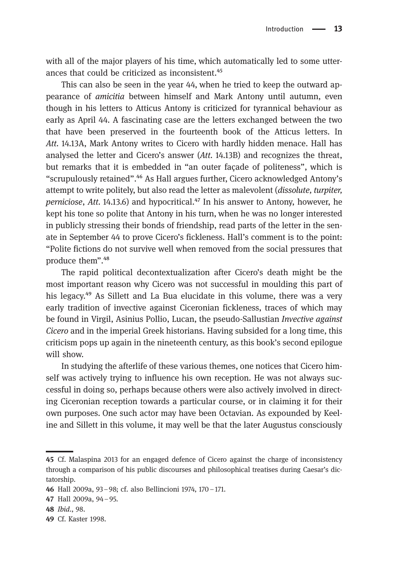with all of the major players of his time, which automatically led to some utterances that could be criticized as inconsistent.<sup>45</sup>

This can also be seen in the year 44, when he tried to keep the outward appearance of amicitia between himself and Mark Antony until autumn, even though in his letters to Atticus Antony is criticized for tyrannical behaviour as early as April 44. A fascinating case are the letters exchanged between the two that have been preserved in the fourteenth book of the Atticus letters. In Att. 14.13A, Mark Antony writes to Cicero with hardly hidden menace. Hall has analysed the letter and Cicero's answer (Att. 14.13B) and recognizes the threat, but remarks that it is embedded in "an outer façade of politeness", which is "scrupulously retained".<sup>46</sup> As Hall argues further, Cicero acknowledged Antony's attempt to write politely, but also read the letter as malevolent (dissolute, turpiter, perniciose, Att. 14.13.6) and hypocritical.<sup>47</sup> In his answer to Antony, however, he kept his tone so polite that Antony in his turn, when he was no longer interested in publicly stressing their bonds of friendship, read parts of the letter in the senate in September 44 to prove Cicero's fickleness. Hall's comment is to the point: "Polite fictions do not survive well when removed from the social pressures that produce them".<sup>48</sup>

The rapid political decontextualization after Cicero's death might be the most important reason why Cicero was not successful in moulding this part of his legacy.<sup>49</sup> As Sillett and La Bua elucidate in this volume, there was a very early tradition of invective against Ciceronian fickleness, traces of which may be found in Virgil, Asinius Pollio, Lucan, the pseudo-Sallustian *Invective against* Cicero and in the imperial Greek historians. Having subsided for a long time, this criticism pops up again in the nineteenth century, as this book's second epilogue will show.

In studying the afterlife of these various themes, one notices that Cicero himself was actively trying to influence his own reception. He was not always successful in doing so, perhaps because others were also actively involved in directing Ciceronian reception towards a particular course, or in claiming it for their own purposes. One such actor may have been Octavian. As expounded by Keeline and Sillett in this volume, it may well be that the later Augustus consciously

<sup>45</sup> Cf. Malaspina 2013 for an engaged defence of Cicero against the charge of inconsistency through a comparison of his public discourses and philosophical treatises during Caesar's dictatorship.

Hall 2009a, 93–98; cf. also Bellincioni 1974, 170–171.

<sup>47</sup> Hall 2009a, 94-95.

<sup>48</sup> Ibid., 98.

<sup>49</sup> Cf. Kaster 1998.